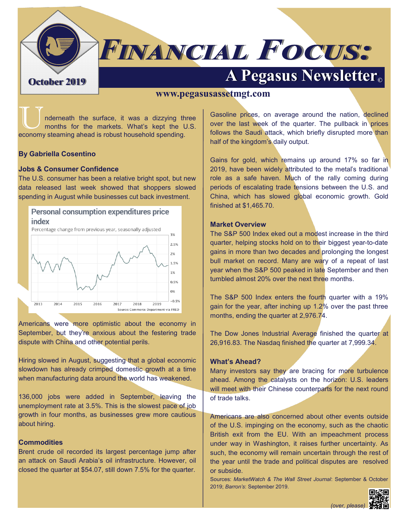

# **FINANCIAL FOCUS:**

# **A Pegasus Newsletter Container 2019**

#### **www.pegasusassetmgt.com**

nderneath the surface, it was a dizzying three months for the markets. What's kept the U.S. economy steaming ahead is robust household spending.

#### **By Gabriella Cosentino**

#### **Jobs & Consumer Confidence**

The U.S. consumer has been a relative bright spot, but new data released last week showed that shoppers slowed spending in August while businesses cut back investment.



Americans were more optimistic about the economy in September, but they're anxious about the festering trade dispute with China and other potential perils.

Hiring slowed in August, suggesting that a global economic slowdown has already crimped domestic growth at a time when manufacturing data around the world has weakened.

136,000 jobs were added in September, leaving the unemployment rate at 3.5%. This is the slowest pace of job growth in four months, as businesses grew more cautious about hiring.

#### **Commodities**

Brent crude oil recorded its largest percentage jump after an attack on Saudi Arabia's oil infrastructure. However, oil closed the quarter at \$54.07, still down 7.5% for the quarter.

Gasoline prices, on average around the nation, declined over the last week of the quarter. The pullback in prices follows the Saudi attack, which briefly disrupted more than half of the kingdom's daily output.

Gains for gold, which remains up around 17% so far in 2019, have been widely attributed to the metal's traditional role as a safe haven. Much of the rally coming during periods of escalating trade tensions between the U.S. and China, which has slowed global economic growth. Gold finished at \$1,465.70.

#### **Market Overview**

The S&P 500 Index eked out a modest increase in the third quarter, helping stocks hold on to their biggest year-to-date gains in more than two decades and prolonging the longest bull market on record. Many are wary of a repeat of last year when the S&P 500 peaked in late September and then tumbled almost 20% over the next three months.

The S&P 500 Index enters the fourth quarter with a 19% gain for the year, after inching up 1.2% over the past three months, ending the quarter at 2,976.74.

The Dow Jones Industrial Average finished the quarter at 26,916.83. The Nasdaq finished the quarter at 7,999.34.

#### **What's Ahead?**

Many investors say they are bracing for more turbulence ahead. Among the catalysts on the horizon: U.S. leaders will meet with their Chinese counterparts for the next round of trade talks.

Americans are also concerned about other events outside of the U.S. impinging on the economy, such as the chaotic British exit from the EU. With an impeachment process under way in Washington, it raises further uncertainty. As such, the economy will remain uncertain through the rest of the year until the trade and political disputes are resolved or subside.

Sources: *MarketWatch & The Wall Street Journal*: September & October 2019; *Barron's*: September 2019.